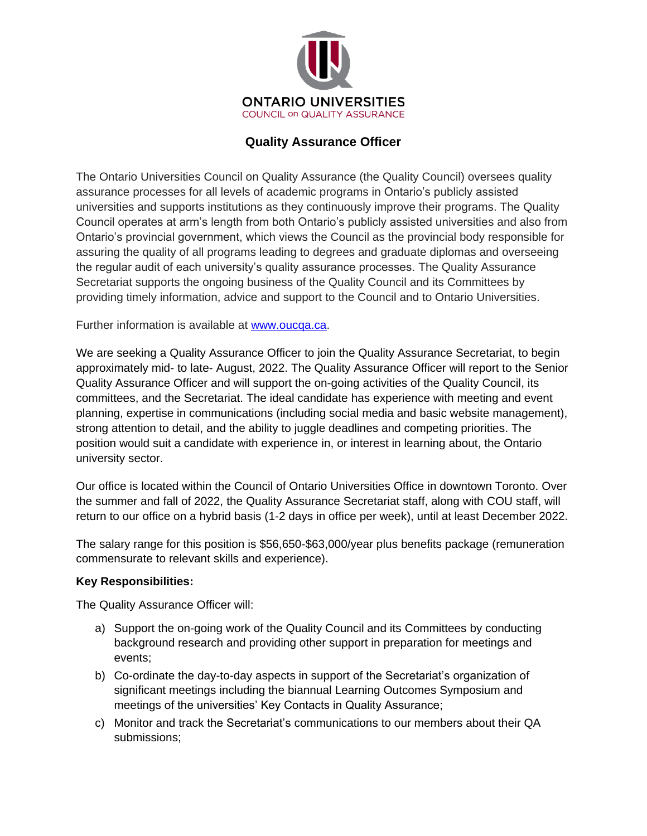

# **Quality Assurance Officer**

The Ontario Universities Council on Quality Assurance (the Quality Council) oversees quality assurance processes for all levels of academic programs in Ontario's publicly assisted universities and supports institutions as they continuously improve their programs. The Quality Council operates at arm's length from both Ontario's publicly assisted universities and also from Ontario's provincial government, which views the Council as the provincial body responsible for assuring the quality of all programs leading to degrees and graduate diplomas and overseeing the regular audit of each university's quality assurance processes. The Quality Assurance Secretariat supports the ongoing business of the Quality Council and its Committees by providing timely information, advice and support to the Council and to Ontario Universities.

Further information is available at [www.oucqa.ca.](http://www.oucqa.ca/)

We are seeking a Quality Assurance Officer to join the Quality Assurance Secretariat, to begin approximately mid- to late- August, 2022. The Quality Assurance Officer will report to the Senior Quality Assurance Officer and will support the on-going activities of the Quality Council, its committees, and the Secretariat. The ideal candidate has experience with meeting and event planning, expertise in communications (including social media and basic website management), strong attention to detail, and the ability to juggle deadlines and competing priorities. The position would suit a candidate with experience in, or interest in learning about, the Ontario university sector.

Our office is located within the Council of Ontario Universities Office in downtown Toronto. Over the summer and fall of 2022, the Quality Assurance Secretariat staff, along with COU staff, will return to our office on a hybrid basis (1-2 days in office per week), until at least December 2022.

The salary range for this position is \$56,650-\$63,000/year plus benefits package (remuneration commensurate to relevant skills and experience).

# **Key Responsibilities:**

The Quality Assurance Officer will:

- a) Support the on-going work of the Quality Council and its Committees by conducting background research and providing other support in preparation for meetings and events;
- b) Co-ordinate the day-to-day aspects in support of the Secretariat's organization of significant meetings including the biannual Learning Outcomes Symposium and meetings of the universities' Key Contacts in Quality Assurance;
- c) Monitor and track the Secretariat's communications to our members about their QA submissions;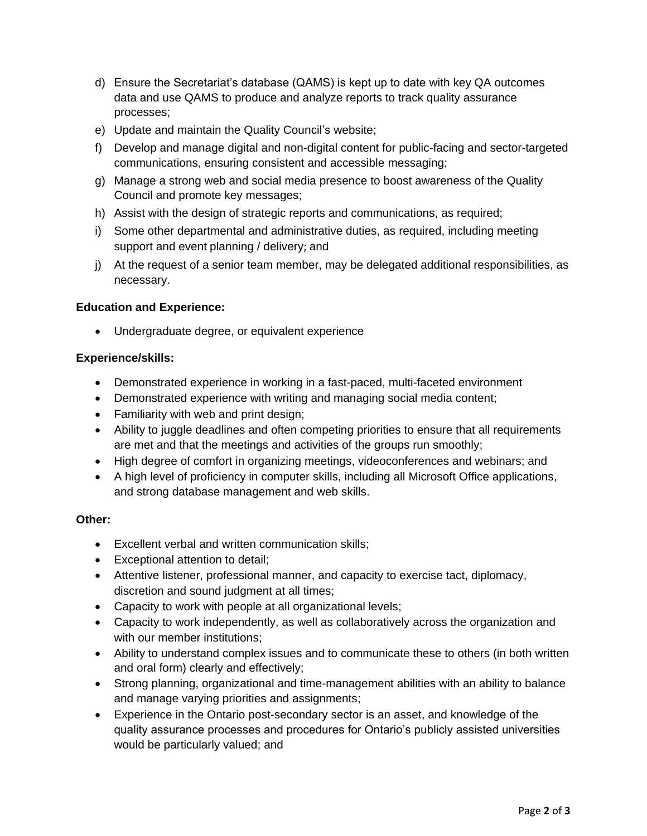- d) Ensure the Secretariat's database (QAMS) is kept up to date with key QA outcomes data and use QAMS to produce and analyze reports to track quality assurance processes;
- e) Update and maintain the Quality Council's website;
- f) Develop and manage digital and non-digital content for public-facing and sector-targeted communications, ensuring consistent and accessible messaging;
- g) Manage a strong web and social media presence to boost awareness of the Quality Council and promote key messages;
- h) Assist with the design of strategic reports and communications, as required;
- i) Some other departmental and administrative duties, as required, including meeting support and event planning / delivery; and
- j) At the request of a senior team member, may be delegated additional responsibilities, as necessary.

# **Education and Experience:**

• Undergraduate degree, or equivalent experience

# **Experience/skills:**

- Demonstrated experience in working in a fast-paced, multi-faceted environment
- Demonstrated experience with writing and managing social media content;
- Familiarity with web and print design;
- Ability to juggle deadlines and often competing priorities to ensure that all requirements are met and that the meetings and activities of the groups run smoothly;
- High degree of comfort in organizing meetings, videoconferences and webinars; and
- A high level of proficiency in computer skills, including all Microsoft Office applications, and strong database management and web skills.

# **Other:**

- Excellent verbal and written communication skills;
- Exceptional attention to detail;
- Attentive listener, professional manner, and capacity to exercise tact, diplomacy, discretion and sound judgment at all times;
- Capacity to work with people at all organizational levels;
- Capacity to work independently, as well as collaboratively across the organization and with our member institutions;
- Ability to understand complex issues and to communicate these to others (in both written and oral form) clearly and effectively;
- Strong planning, organizational and time-management abilities with an ability to balance and manage varying priorities and assignments;
- Experience in the Ontario post-secondary sector is an asset, and knowledge of the quality assurance processes and procedures for Ontario's publicly assisted universities would be particularly valued; and